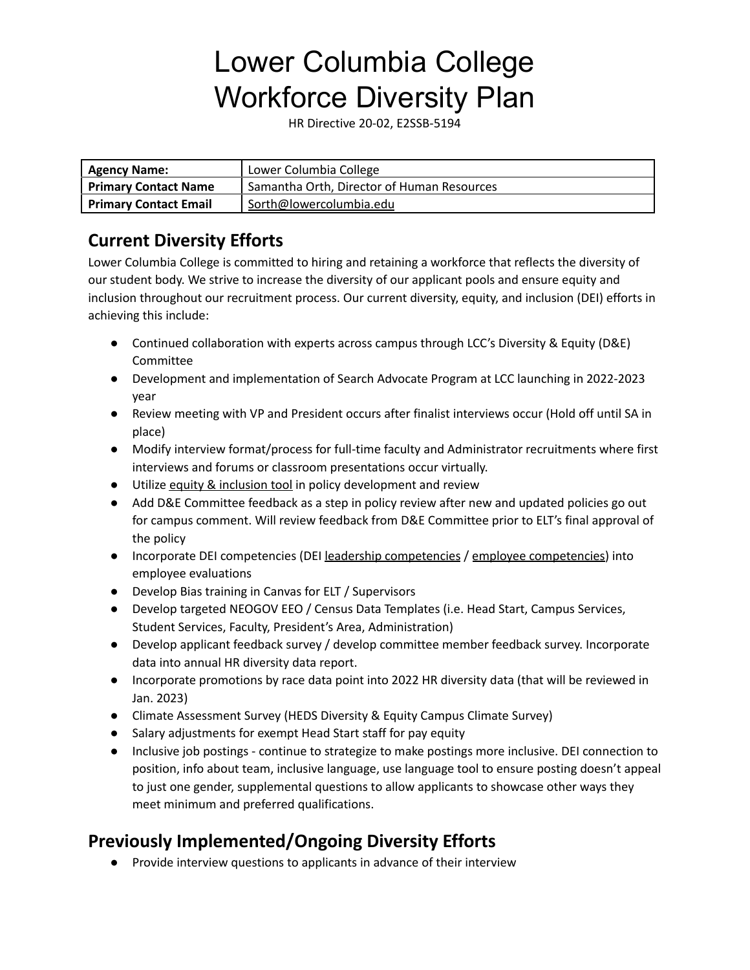HR Directive 20-02, E2SSB-5194

| <b>Agency Name:</b>          | Lower Columbia College                     |
|------------------------------|--------------------------------------------|
| Primary Contact Name         | Samantha Orth, Director of Human Resources |
| <b>Primary Contact Email</b> | Sorth@lowercolumbia.edu                    |

# **Current Diversity Efforts**

Lower Columbia College is committed to hiring and retaining a workforce that reflects the diversity of our student body. We strive to increase the diversity of our applicant pools and ensure equity and inclusion throughout our recruitment process. Our current diversity, equity, and inclusion (DEI) efforts in achieving this include:

- Continued collaboration with experts across campus through LCC's Diversity & Equity (D&E) Committee
- Development and implementation of Search Advocate Program at LCC launching in 2022-2023 year
- Review meeting with VP and President occurs after finalist interviews occur (Hold off until SA in place)
- Modify interview format/process for full-time faculty and Administrator recruitments where first interviews and forums or classroom presentations occur virtually.
- Utilize equity & [inclusion](http://internal.lowercolumbia.edu/departments/human-resources/_assets/documents/Equity_InclusionTool.pdf) tool in policy development and review
- Add D&E Committee feedback as a step in policy review after new and updated policies go out for campus comment. Will review feedback from D&E Committee prior to ELT's final approval of the policy
- Incorporate DEI [competencies](https://ofm.wa.gov/sites/default/files/public/shr/Diversity/SubCommit/DEI%20Competencies%20-%20All%20Employees%20-%20A%20pathway%20for%20success.pdf) (DEI leadership competencies / employee competencies) into employee evaluations
- Develop Bias training in Canvas for ELT / Supervisors
- Develop targeted NEOGOV EEO / Census Data Templates (i.e. Head Start, Campus Services, Student Services, Faculty, President's Area, Administration)
- Develop applicant feedback survey / develop committee member feedback survey. Incorporate data into annual HR diversity data report.
- Incorporate promotions by race data point into 2022 HR diversity data (that will be reviewed in Jan. 2023)
- Climate Assessment Survey (HEDS Diversity & Equity Campus Climate Survey)
- Salary adjustments for exempt Head Start staff for pay equity
- Inclusive job postings continue to strategize to make postings more inclusive. DEI connection to position, info about team, inclusive language, use language tool to ensure posting doesn't appeal to just one gender, supplemental questions to allow applicants to showcase other ways they meet minimum and preferred qualifications.

# **Previously Implemented/Ongoing Diversity Efforts**

● Provide interview questions to applicants in advance of their interview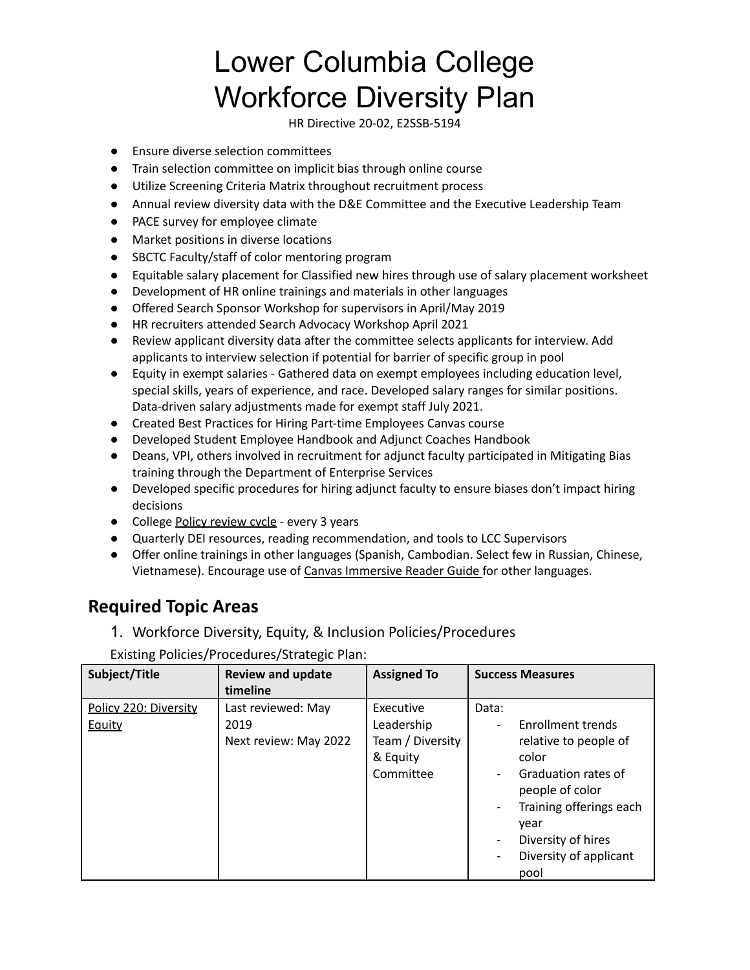HR Directive 20-02, E2SSB-5194

- Ensure diverse selection committees
- Train selection committee on implicit bias through online course
- Utilize Screening Criteria Matrix throughout recruitment process
- Annual review diversity data with the D&E Committee and the Executive Leadership Team
- PACE survey for employee climate
- Market positions in diverse locations
- SBCTC Faculty/staff of color mentoring program
- Equitable salary placement for Classified new hires through use of salary placement worksheet
- Development of HR online trainings and materials in other languages
- Offered Search Sponsor Workshop for supervisors in April/May 2019
- HR recruiters attended Search Advocacy Workshop April 2021
- Review applicant diversity data after the committee selects applicants for interview. Add applicants to interview selection if potential for barrier of specific group in pool
- Equity in exempt salaries Gathered data on exempt employees including education level, special skills, years of experience, and race. Developed salary ranges for similar positions. Data-driven salary adjustments made for exempt staff July 2021.
- Created Best Practices for Hiring Part-time Employees Canvas course
- Developed Student Employee Handbook and Adjunct Coaches Handbook
- Deans, VPI, others involved in recruitment for adjunct faculty participated in Mitigating Bias training through the Department of Enterprise Services
- Developed specific procedures for hiring adjunct faculty to ensure biases don't impact hiring decisions
- College Policy [review](https://lowercolumbia.edu/publications/administrative-policies/review-cycle.php) cycle every 3 years
- Quarterly DEI resources, reading recommendation, and tools to LCC Supervisors
- Offer online trainings in other languages (Spanish, Cambodian. Select few in Russian, Chinese, Vietnamese). Encourage use of Canvas [Immersive](http://internal.lowercolumbia.edu/departments/human-resources/_assets/documents/ImmersiveReaderGuide.pdf) Reader Guide for other languages.

## **Required Topic Areas**

1. Workforce Diversity, Equity, & Inclusion Policies/Procedures

Existing Policies/Procedures/Strategic Plan:

| Subject/Title                   | <b>Review and update</b><br>timeline                | <b>Assigned To</b>                                                   | <b>Success Measures</b>                                                                                                                                                                                                                                                                    |
|---------------------------------|-----------------------------------------------------|----------------------------------------------------------------------|--------------------------------------------------------------------------------------------------------------------------------------------------------------------------------------------------------------------------------------------------------------------------------------------|
| Policy 220: Diversity<br>Equity | Last reviewed: May<br>2019<br>Next review: May 2022 | Executive<br>Leadership<br>Team / Diversity<br>& Equity<br>Committee | Data:<br>Enrollment trends<br>$\overline{\phantom{0}}$<br>relative to people of<br>color<br>Graduation rates of<br>$\overline{\phantom{0}}$<br>people of color<br>Training offerings each<br>year<br>Diversity of hires<br>-<br>Diversity of applicant<br>$\overline{\phantom{0}}$<br>pool |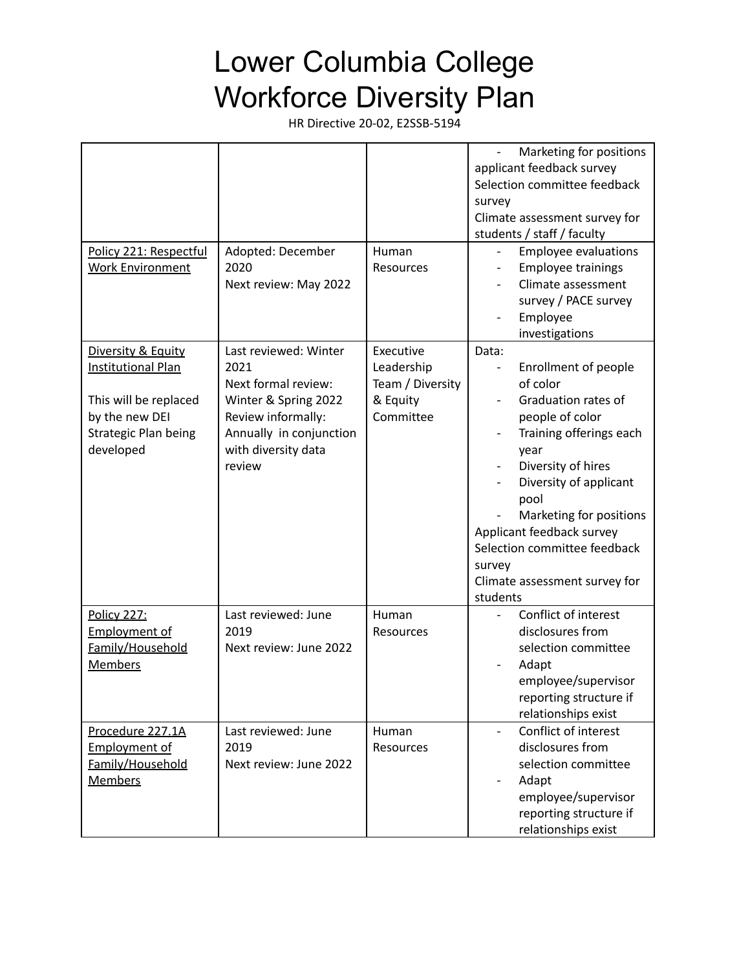| Policy 221: Respectful<br><b>Work Environment</b>                                                                               | Adopted: December<br>2020<br>Next review: May 2022                                                                                                             | Human<br>Resources                                                   | Marketing for positions<br>applicant feedback survey<br>Selection committee feedback<br>survey<br>Climate assessment survey for<br>students / staff / faculty<br><b>Employee evaluations</b><br><b>Employee trainings</b><br>Climate assessment<br>survey / PACE survey<br>Employee<br>investigations                         |
|---------------------------------------------------------------------------------------------------------------------------------|----------------------------------------------------------------------------------------------------------------------------------------------------------------|----------------------------------------------------------------------|-------------------------------------------------------------------------------------------------------------------------------------------------------------------------------------------------------------------------------------------------------------------------------------------------------------------------------|
| Diversity & Equity<br><b>Institutional Plan</b><br>This will be replaced<br>by the new DEI<br>Strategic Plan being<br>developed | Last reviewed: Winter<br>2021<br>Next formal review:<br>Winter & Spring 2022<br>Review informally:<br>Annually in conjunction<br>with diversity data<br>review | Executive<br>Leadership<br>Team / Diversity<br>& Equity<br>Committee | Data:<br>Enrollment of people<br>of color<br>Graduation rates of<br>people of color<br>Training offerings each<br>year<br>Diversity of hires<br>Diversity of applicant<br>pool<br>Marketing for positions<br>Applicant feedback survey<br>Selection committee feedback<br>survey<br>Climate assessment survey for<br>students |
| <b>Policy 227:</b><br><b>Employment of</b><br>Family/Household<br>Members                                                       | Last reviewed: June<br>2019<br>Next review: June 2022                                                                                                          | Human<br>Resources                                                   | Conflict of interest<br>disclosures from<br>selection committee<br>Adapt<br>employee/supervisor<br>reporting structure if<br>relationships exist                                                                                                                                                                              |
| Procedure 227.1A<br><b>Employment of</b><br>Family/Household<br><b>Members</b>                                                  | Last reviewed: June<br>2019<br>Next review: June 2022                                                                                                          | Human<br>Resources                                                   | Conflict of interest<br>disclosures from<br>selection committee<br>Adapt<br>employee/supervisor<br>reporting structure if<br>relationships exist                                                                                                                                                                              |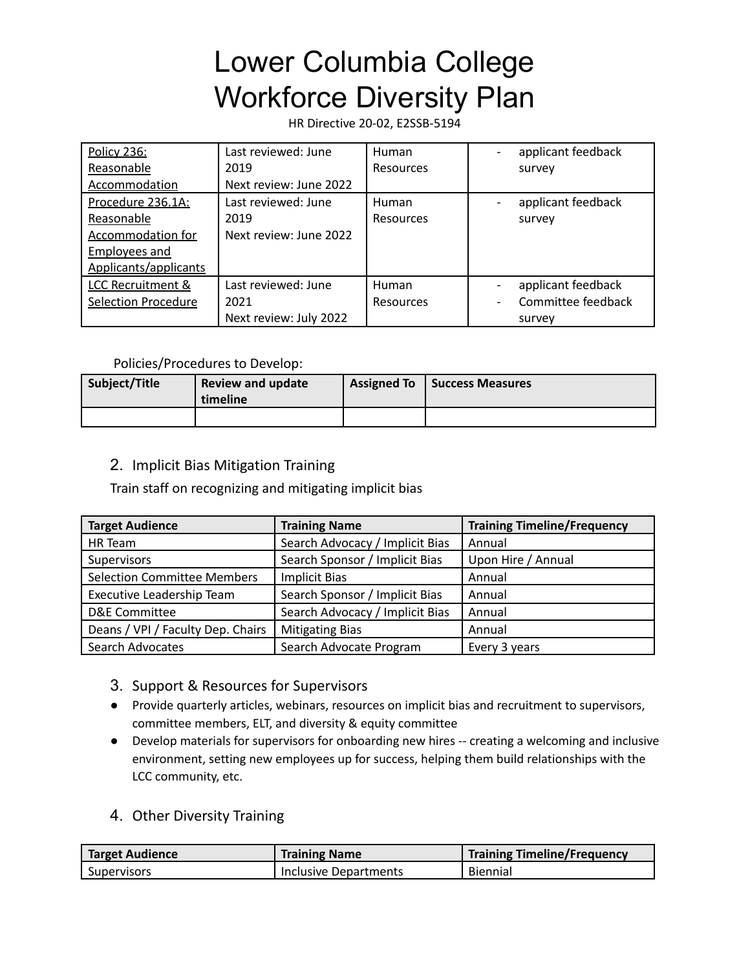HR Directive 20-02, E2SSB-5194

| Policy 236:                  | Last reviewed: June    | Human     | applicant feedback |
|------------------------------|------------------------|-----------|--------------------|
| Reasonable                   | 2019                   | Resources | survey             |
| Accommodation                | Next review: June 2022 |           |                    |
| Procedure 236.1A:            | Last reviewed: June    | Human     | applicant feedback |
| Reasonable                   | 2019                   | Resources | survey             |
| <b>Accommodation for</b>     | Next review: June 2022 |           |                    |
| Employees and                |                        |           |                    |
| Applicants/applicants        |                        |           |                    |
| <b>LCC Recruitment &amp;</b> | Last reviewed: June    | Human     | applicant feedback |
| <b>Selection Procedure</b>   | 2021                   | Resources | Committee feedback |
|                              | Next review: July 2022 |           | survey             |

#### Policies/Procedures to Develop:

| Subject/Title | <b>Review and update</b><br>timeline | <b>Assigned To</b> | Success Measures |
|---------------|--------------------------------------|--------------------|------------------|
|               |                                      |                    |                  |

### 2. Implicit Bias Mitigation Training

Train staff on recognizing and mitigating implicit bias

| <b>Target Audience</b>             | <b>Training Name</b>            | <b>Training Timeline/Frequency</b> |
|------------------------------------|---------------------------------|------------------------------------|
| HR Team                            | Search Advocacy / Implicit Bias | Annual                             |
| Supervisors                        | Search Sponsor / Implicit Bias  | Upon Hire / Annual                 |
| <b>Selection Committee Members</b> | <b>Implicit Bias</b>            | Annual                             |
| Executive Leadership Team          | Search Sponsor / Implicit Bias  | Annual                             |
| <b>D&amp;E Committee</b>           | Search Advocacy / Implicit Bias | Annual                             |
| Deans / VPI / Faculty Dep. Chairs  | <b>Mitigating Bias</b>          | Annual                             |
| Search Advocates                   | Search Advocate Program         | Every 3 years                      |

- 3. Support & Resources for Supervisors
- Provide quarterly articles, webinars, resources on implicit bias and recruitment to supervisors, committee members, ELT, and diversity & equity committee
- Develop materials for supervisors for onboarding new hires -- creating a welcoming and inclusive environment, setting new employees up for success, helping them build relationships with the LCC community, etc.
- 4. Other Diversity Training

| <b>Target Audience</b>   | <b>Training Name</b>         | <b>Training Timeline/Frequency</b> |
|--------------------------|------------------------------|------------------------------------|
| <sup>I</sup> Supervisors | <b>Inclusive Departments</b> | Biennial                           |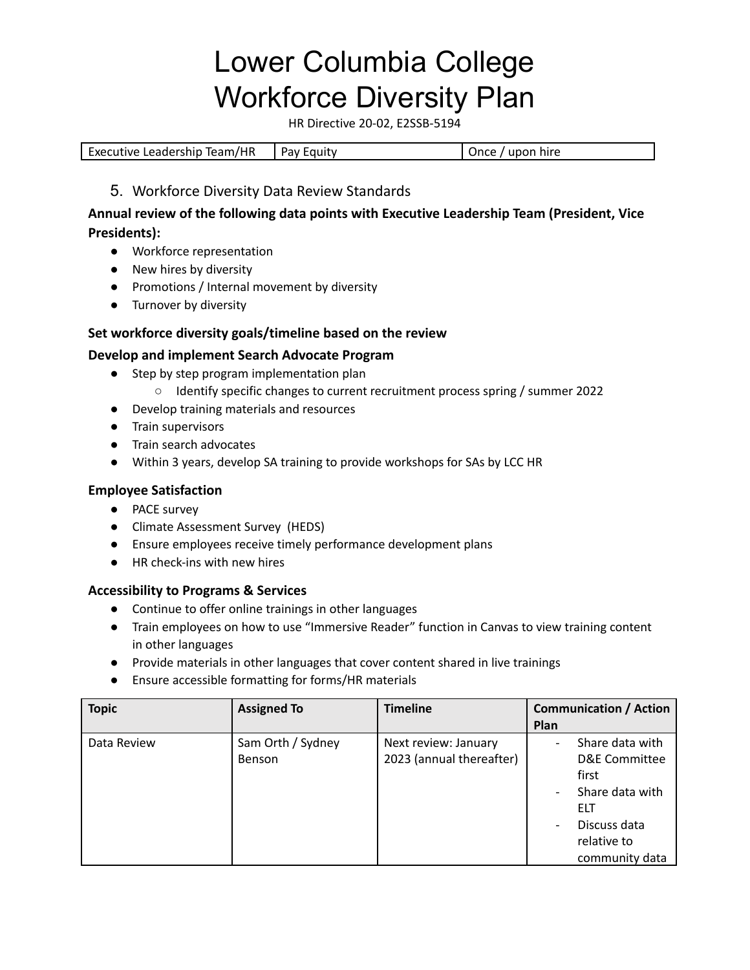HR Directive 20-02, E2SSB-5194

| Executive Leadership Team/HR<br>Pay Equity | Once / upon hire |  |
|--------------------------------------------|------------------|--|
|--------------------------------------------|------------------|--|

#### 5. Workforce Diversity Data Review Standards

### **Annual review of the following data points with Executive Leadership Team (President, Vice Presidents):**

- Workforce representation
- New hires by diversity
- Promotions / Internal movement by diversity
- Turnover by diversity

#### **Set workforce diversity goals/timeline based on the review**

#### **Develop and implement Search Advocate Program**

- Step by step program implementation plan
	- Identify specific changes to current recruitment process spring / summer 2022
- Develop training materials and resources
- Train supervisors
- Train search advocates
- Within 3 years, develop SA training to provide workshops for SAs by LCC HR

### **Employee Satisfaction**

- PACE survey
- Climate Assessment Survey (HEDS)
- Ensure employees receive timely performance development plans
- HR check-ins with new hires

#### **Accessibility to Programs & Services**

- Continue to offer online trainings in other languages
- Train employees on how to use "Immersive Reader" function in Canvas to view training content in other languages
- Provide materials in other languages that cover content shared in live trainings
- Ensure accessible formatting for forms/HR materials

| <b>Topic</b> | <b>Assigned To</b>                 | <b>Timeline</b>                                  | <b>Communication / Action</b><br>Plan                                                                                       |
|--------------|------------------------------------|--------------------------------------------------|-----------------------------------------------------------------------------------------------------------------------------|
| Data Review  | Sam Orth / Sydney<br><b>Benson</b> | Next review: January<br>2023 (annual thereafter) | Share data with<br>D&E Committee<br>first<br>Share data with<br><b>ELT</b><br>Discuss data<br>relative to<br>community data |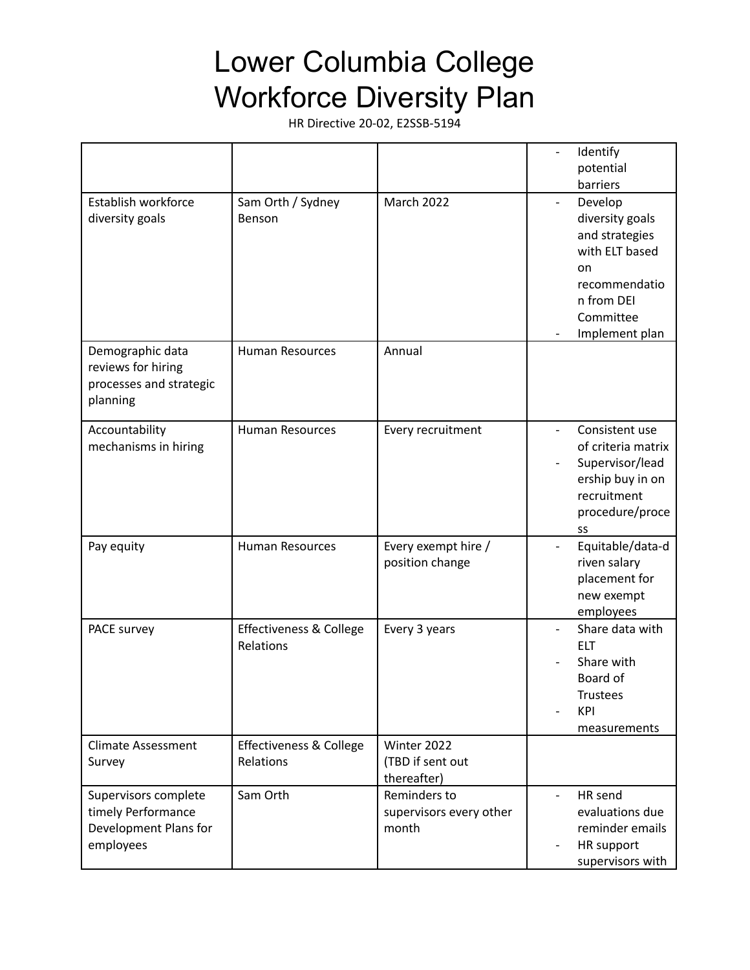|                                                                                  |                                      |                                                  | Identify<br>potential<br>barriers                                                                                                  |
|----------------------------------------------------------------------------------|--------------------------------------|--------------------------------------------------|------------------------------------------------------------------------------------------------------------------------------------|
| Establish workforce<br>diversity goals                                           | Sam Orth / Sydney<br>Benson          | March 2022                                       | Develop<br>diversity goals<br>and strategies<br>with ELT based<br>on<br>recommendatio<br>n from DEI<br>Committee<br>Implement plan |
| Demographic data<br>reviews for hiring<br>processes and strategic<br>planning    | <b>Human Resources</b>               | Annual                                           |                                                                                                                                    |
| Accountability<br>mechanisms in hiring                                           | <b>Human Resources</b>               | Every recruitment                                | Consistent use<br>of criteria matrix<br>Supervisor/lead<br>ership buy in on<br>recruitment<br>procedure/proce<br>SS                |
| Pay equity                                                                       | <b>Human Resources</b>               | Every exempt hire /<br>position change           | Equitable/data-d<br>riven salary<br>placement for<br>new exempt<br>employees                                                       |
| PACE survey                                                                      | Effectiveness & College<br>Relations | Every 3 years                                    | Share data with<br><b>ELT</b><br>Share with<br>Board of<br>Trustees<br>KPI<br>measurements                                         |
| <b>Climate Assessment</b><br>Survey                                              | Effectiveness & College<br>Relations | Winter 2022<br>(TBD if sent out<br>thereafter)   |                                                                                                                                    |
| Supervisors complete<br>timely Performance<br>Development Plans for<br>employees | Sam Orth                             | Reminders to<br>supervisors every other<br>month | HR send<br>$\blacksquare$<br>evaluations due<br>reminder emails<br>HR support<br>$\overline{\phantom{a}}$<br>supervisors with      |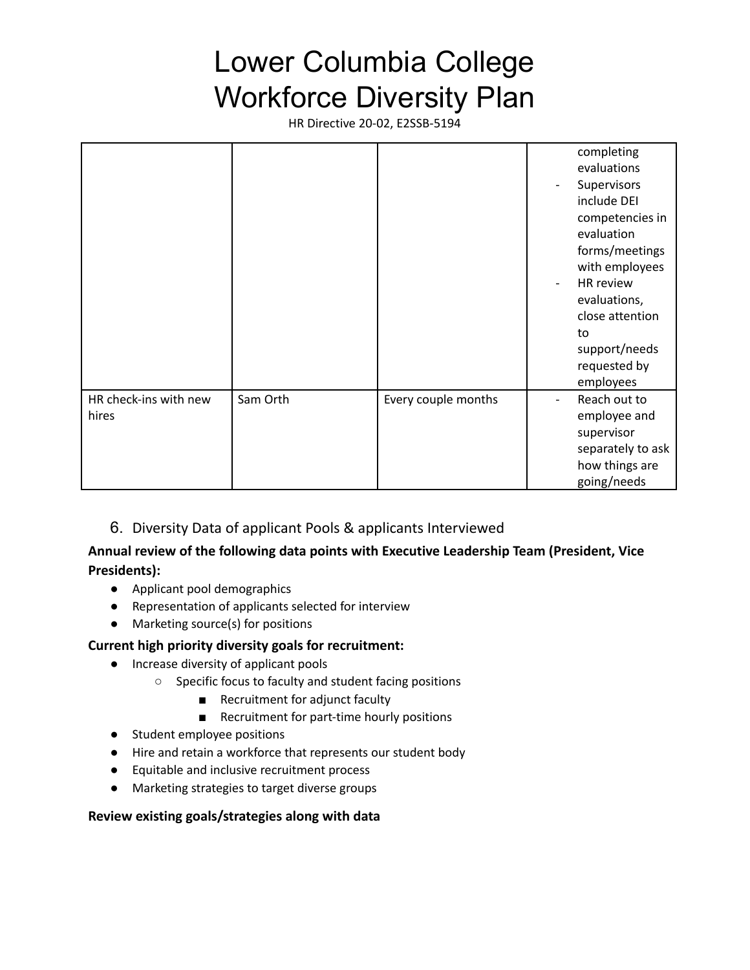HR Directive 20-02, E2SSB-5194

|                                |          |                     | completing<br>evaluations<br>Supervisors<br>include DEI<br>competencies in<br>evaluation<br>forms/meetings<br>with employees<br>HR review<br>evaluations,<br>close attention<br>to<br>support/needs<br>requested by<br>employees |
|--------------------------------|----------|---------------------|----------------------------------------------------------------------------------------------------------------------------------------------------------------------------------------------------------------------------------|
| HR check-ins with new<br>hires | Sam Orth | Every couple months | Reach out to<br>employee and<br>supervisor<br>separately to ask<br>how things are<br>going/needs                                                                                                                                 |

6. Diversity Data of applicant Pools & applicants Interviewed

### **Annual review of the following data points with Executive Leadership Team (President, Vice Presidents):**

- Applicant pool demographics
- Representation of applicants selected for interview
- Marketing source(s) for positions

#### **Current high priority diversity goals for recruitment:**

- Increase diversity of applicant pools
	- Specific focus to faculty and student facing positions
		- Recruitment for adjunct faculty
		- Recruitment for part-time hourly positions
- Student employee positions
- Hire and retain a workforce that represents our student body
- Equitable and inclusive recruitment process
- Marketing strategies to target diverse groups

#### **Review existing goals/strategies along with data**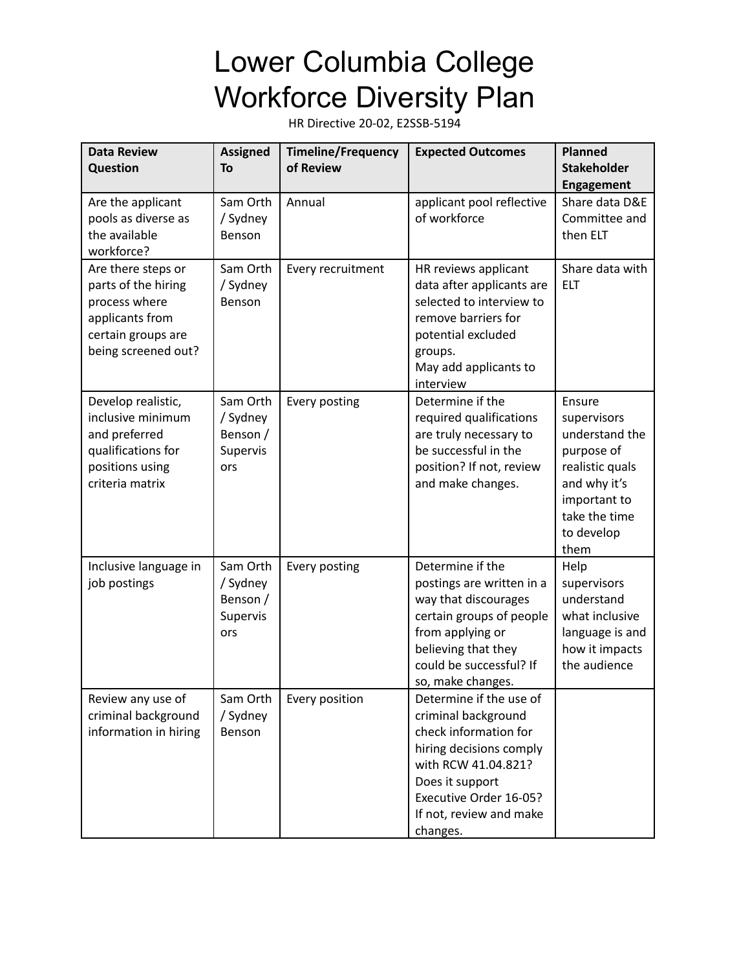| <b>Data Review</b><br>Question                                                                                             | <b>Assigned</b><br>To                               | <b>Timeline/Frequency</b><br>of Review | <b>Expected Outcomes</b>                                                                                                                                                                                      | <b>Planned</b><br><b>Stakeholder</b><br><b>Engagement</b>                                                                                       |
|----------------------------------------------------------------------------------------------------------------------------|-----------------------------------------------------|----------------------------------------|---------------------------------------------------------------------------------------------------------------------------------------------------------------------------------------------------------------|-------------------------------------------------------------------------------------------------------------------------------------------------|
| Are the applicant<br>pools as diverse as<br>the available<br>workforce?                                                    | Sam Orth<br>/ Sydney<br>Benson                      | Annual                                 | applicant pool reflective<br>of workforce                                                                                                                                                                     | Share data D&E<br>Committee and<br>then ELT                                                                                                     |
| Are there steps or<br>parts of the hiring<br>process where<br>applicants from<br>certain groups are<br>being screened out? | Sam Orth<br>/ Sydney<br>Benson                      | Every recruitment                      | HR reviews applicant<br>data after applicants are<br>selected to interview to<br>remove barriers for<br>potential excluded<br>groups.<br>May add applicants to<br>interview                                   | Share data with<br><b>ELT</b>                                                                                                                   |
| Develop realistic,<br>inclusive minimum<br>and preferred<br>qualifications for<br>positions using<br>criteria matrix       | Sam Orth<br>/ Sydney<br>Benson /<br>Supervis<br>ors | Every posting                          | Determine if the<br>required qualifications<br>are truly necessary to<br>be successful in the<br>position? If not, review<br>and make changes.                                                                | Ensure<br>supervisors<br>understand the<br>purpose of<br>realistic quals<br>and why it's<br>important to<br>take the time<br>to develop<br>them |
| Inclusive language in<br>job postings                                                                                      | Sam Orth<br>/ Sydney<br>Benson /<br>Supervis<br>ors | Every posting                          | Determine if the<br>postings are written in a<br>way that discourages<br>certain groups of people<br>from applying or<br>believing that they<br>could be successful? If<br>so, make changes.                  | Help<br>supervisors<br>understand<br>what inclusive<br>language is and<br>how it impacts<br>the audience                                        |
| Review any use of<br>criminal background<br>information in hiring                                                          | Sam Orth<br>/ Sydney<br>Benson                      | Every position                         | Determine if the use of<br>criminal background<br>check information for<br>hiring decisions comply<br>with RCW 41.04.821?<br>Does it support<br>Executive Order 16-05?<br>If not, review and make<br>changes. |                                                                                                                                                 |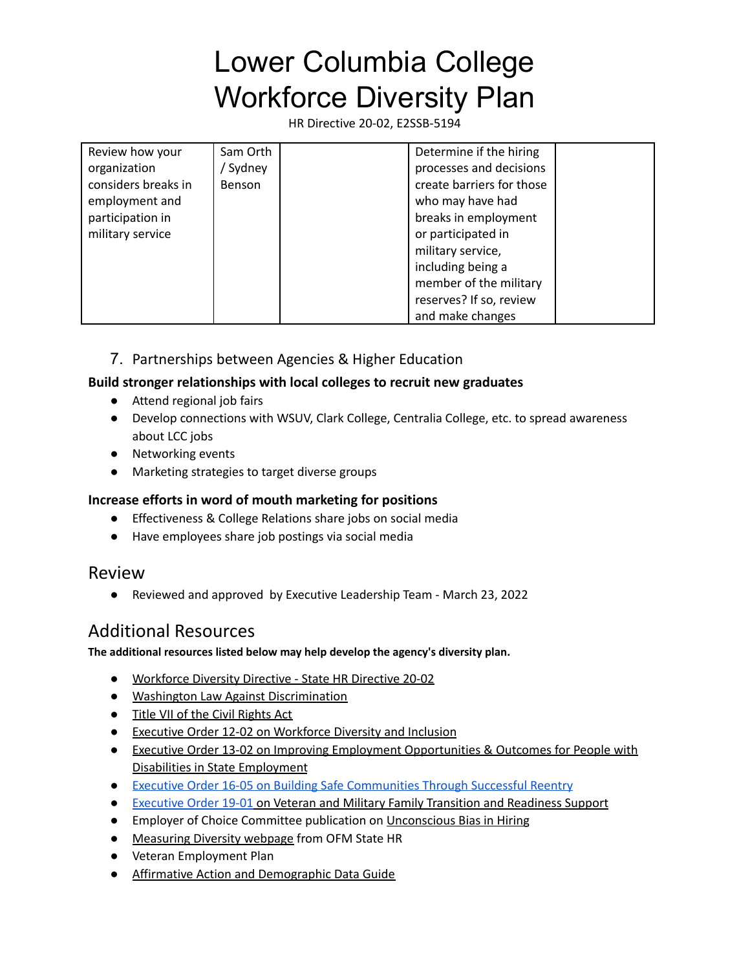HR Directive 20-02, E2SSB-5194

| Review how your     | Sam Orth | Determine if the hiring   |  |
|---------------------|----------|---------------------------|--|
| organization        | ' Sydney | processes and decisions   |  |
| considers breaks in | Benson   | create barriers for those |  |
| employment and      |          | who may have had          |  |
| participation in    |          | breaks in employment      |  |
| military service    |          | or participated in        |  |
|                     |          | military service,         |  |
|                     |          | including being a         |  |
|                     |          | member of the military    |  |
|                     |          | reserves? If so, review   |  |
|                     |          | and make changes          |  |

## 7. Partnerships between Agencies & Higher Education

#### **Build stronger relationships with local colleges to recruit new graduates**

- Attend regional job fairs
- Develop connections with WSUV, Clark College, Centralia College, etc. to spread awareness about LCC jobs
- Networking events
- Marketing strategies to target diverse groups

#### **Increase efforts in word of mouth marketing for positions**

- Effectiveness & College Relations share jobs on social media
- Have employees share job postings via social media

## Review

● Reviewed and approved by Executive Leadership Team - March 23, 2022

# Additional Resources

#### **The additional resources listed below may help develop the agency's diversity plan.**

- Workforce Diversity Directive State HR Directive 20-02
- Washington Law Against [Discrimination](https://apps.leg.wa.gov/rcw/default.aspx?cite=49.60)
- Title VII of the Civil [Rights](https://www.eeoc.gov/laws/statutes/titlevii.cfm) Act
- Executive Order 12-02 on [Workforce](https://www.governor.wa.gov/sites/default/files/exe_order/eo_12-02.pdf) Diversity and Inclusion
- Executive Order 13-02 on Improving Employment [Opportunities](https://www.governor.wa.gov/sites/default/files/exe_order/eo_13-02.pdf) & Outcomes for People with Disabilities in State [Employment](https://www.governor.wa.gov/sites/default/files/exe_order/eo_13-02.pdf)
- Executive Order 16-05 on Building Safe [Communities](https://www.governor.wa.gov/sites/default/files/exe_order/eo_16-05.pdf) Through Successful Reentry
- [Executive](https://www.governor.wa.gov/sites/default/files/exe_order/19-01_VeteranAndMilitaryFamily%20.pdf) Order 19-01 on Veteran and Military Family Transition and Readiness Support
- Employer of Choice Committee publication on [Unconscious](https://ofm.wa.gov/sites/default/files/public/shr/HRleaddev/governnance/eocc/DiversityRR.pdf) Bias in Hiring
- [Measuring](https://ofm.wa.gov/state-human-resources/workforce-diversity-equity-and-inclusion/diversity-equity-and-inclusion-resources/measuring-diversity) Diversity webpage from OFM State HR
- Veteran Employment Plan
- Affirmative Action and [Demographic](https://www.ofm.wa.gov/sites/default/files/public/shr/Payroll/HRMSSupport/TrainingAndOLQR/DataDefinitions/AAandDemographicDataGuide.pdf) Data Guide